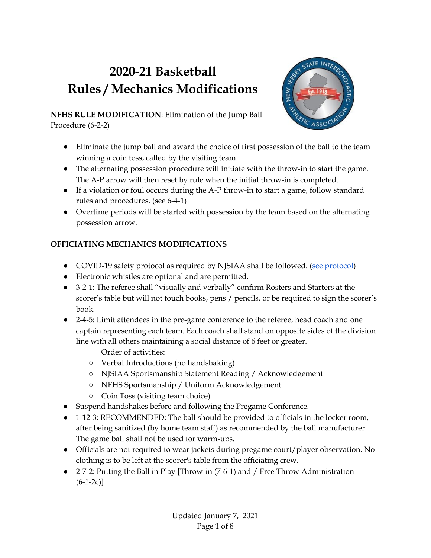# **2020-21 Basketball Rules / Mechanics Modifications**



**NFHS RULE MODIFICATION**: Elimination of the Jump Ball Procedure (6-2-2)

- Eliminate the jump ball and award the choice of first possession of the ball to the team winning a coin toss, called by the visiting team.
- The alternating possession procedure will initiate with the throw-in to start the game. The A-P arrow will then reset by rule when the initial throw-in is completed.
- If a violation or foul occurs during the A-P throw-in to start a game, follow standard rules and procedures. (see 6-4-1)
- Overtime periods will be started with possession by the team based on the alternating possession arrow.

## **OFFICIATING MECHANICS MODIFICATIONS**

- COVID-19 safety [protocol](https://www.njsiaa.org/sites/default/files/documents/2021-01/covid-19-winter-guidelines.pdf) as required by NJSIAA shall be followed. (see protocol)
- Electronic whistles are optional and are permitted.
- 3-2-1: The referee shall "visually and verbally" confirm Rosters and Starters at the scorer's table but will not touch books, pens / pencils, or be required to sign the scorer's book.
- 2-4-5: Limit attendees in the pre-game conference to the referee, head coach and one captain representing each team. Each coach shall stand on opposite sides of the division line with all others maintaining a social distance of 6 feet or greater.

Order of activities:

- Verbal Introductions (no handshaking)
- NJSIAA Sportsmanship Statement Reading / Acknowledgement
- NFHS Sportsmanship / Uniform Acknowledgement
- Coin Toss (visiting team choice)
- Suspend handshakes before and following the Pregame Conference.
- 1-12-3: RECOMMENDED: The ball should be provided to officials in the locker room, after being sanitized (by home team staff) as recommended by the ball manufacturer. The game ball shall not be used for warm-ups.
- Officials are not required to wear jackets during pregame court/player observation. No clothing is to be left at the scorer's table from the officiating crew.
- 2-7-2: Putting the Ball in Play [Throw-in (7-6-1) and / Free Throw Administration  $(6-1-2c)$ ]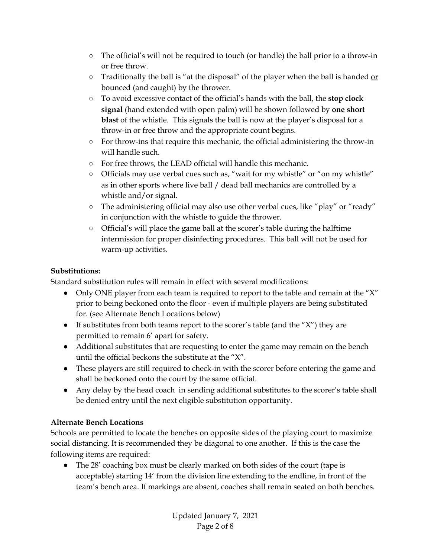- The official's will not be required to touch (or handle) the ball prior to a throw-in or free throw.
- $\circ$  Traditionally the ball is "at the disposal" of the player when the ball is handed  $or$ </u> bounced (and caught) by the thrower.
- To avoid excessive contact of the official's hands with the ball, the **stop clock signal** (hand extended with open palm) will be shown followed by **one short blast** of the whistle. This signals the ball is now at the player's disposal for a throw-in or free throw and the appropriate count begins.
- For throw-ins that require this mechanic, the official administering the throw-in will handle such.
- For free throws, the LEAD official will handle this mechanic.
- Officials may use verbal cues such as, "wait for my whistle" or "on my whistle" as in other sports where live ball / dead ball mechanics are controlled by a whistle and/or signal.
- The administering official may also use other verbal cues, like "play" or "ready" in conjunction with the whistle to guide the thrower.
- Official's will place the game ball at the scorer's table during the halftime intermission for proper disinfecting procedures. This ball will not be used for warm-up activities.

#### **Substitutions:**

Standard substitution rules will remain in effect with several modifications:

- Only ONE player from each team is required to report to the table and remain at the "X" prior to being beckoned onto the floor - even if multiple players are being substituted for. (see Alternate Bench Locations below)
- If substitutes from both teams report to the scorer's table (and the " $X$ ") they are permitted to remain 6' apart for safety.
- Additional substitutes that are requesting to enter the game may remain on the bench until the official beckons the substitute at the "X".
- These players are still required to check-in with the scorer before entering the game and shall be beckoned onto the court by the same official.
- Any delay by the head coach in sending additional substitutes to the scorer's table shall be denied entry until the next eligible substitution opportunity.

## **Alternate Bench Locations**

Schools are permitted to locate the benches on opposite sides of the playing court to maximize social distancing. It is recommended they be diagonal to one another. If this is the case the following items are required:

• The 28' coaching box must be clearly marked on both sides of the court (tape is acceptable) starting 14' from the division line extending to the endline, in front of the team's bench area. If markings are absent, coaches shall remain seated on both benches.

> Updated January 7, 2021 Page 2 of 8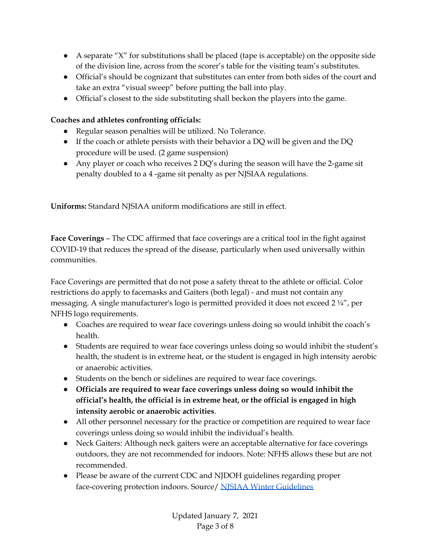- A separate "X" for substitutions shall be placed (tape is acceptable) on the opposite side of the division line, across from the scorer's table for the visiting team's substitutes.
- Official's should be cognizant that substitutes can enter from both sides of the court and take an extra "visual sweep" before putting the ball into play.
- Official's closest to the side substituting shall beckon the players into the game.

## **Coaches and athletes confronting officials:**

- Regular season penalties will be utilized. No Tolerance.
- $\bullet$  If the coach or athlete persists with their behavior a DQ will be given and the DQ procedure will be used. (2 game suspension)
- Any player or coach who receives  $2$  DQ's during the season will have the 2-game sit penalty doubled to a 4 -game sit penalty as per NJSIAA regulations.

**Uniforms:** Standard NJSIAA uniform modifications are still in effect.

**Face Coverings** – The CDC affirmed that face coverings are a critical tool in the fight against COVID-19 that reduces the spread of the disease, particularly when used universally within communities.

Face Coverings are permitted that do not pose a safety threat to the athlete or official. Color restrictions do apply to facemasks and Gaiters (both legal) - and must not contain any messaging. A single manufacturer's logo is permitted provided it does not exceed 2 ¼", per NFHS logo requirements.

- Coaches are required to wear face coverings unless doing so would inhibit the coach's health.
- Students are required to wear face coverings unless doing so would inhibit the student's health, the student is in extreme heat, or the student is engaged in high intensity aerobic or anaerobic activities.
- Students on the bench or sidelines are required to wear face coverings.
- **Officials are required to wear face coverings unless doing so would inhibit the official's health, the official is in extreme heat, or the official is engaged in high intensity aerobic or anaerobic activities**.
- All other personnel necessary for the practice or competition are required to wear face coverings unless doing so would inhibit the individual's health.
- Neck Gaiters: Although neck gaiters were an acceptable alternative for face coverings outdoors, they are not recommended for indoors. Note: NFHS allows these but are not recommended.
- Please be aware of the current CDC and NJDOH guidelines regarding proper face-covering protection indoors. Source/ NJSIAA Winter [Guidelines](https://www.njsiaa.org/sites/default/files/documents/2021-01/covid-19-winter-guidelines.pdf)

Updated January 7, 2021 Page 3 of 8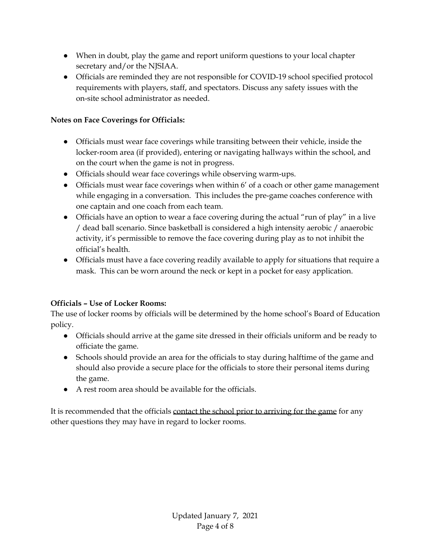- When in doubt, play the game and report uniform questions to your local chapter secretary and/or the NJSIAA.
- Officials are reminded they are not responsible for COVID-19 school specified protocol requirements with players, staff, and spectators. Discuss any safety issues with the on-site school administrator as needed.

#### **Notes on Face Coverings for Officials:**

- Officials must wear face coverings while transiting between their vehicle, inside the locker-room area (if provided), entering or navigating hallways within the school, and on the court when the game is not in progress.
- Officials should wear face coverings while observing warm-ups.
- Officials must wear face coverings when within 6' of a coach or other game management while engaging in a conversation. This includes the pre-game coaches conference with one captain and one coach from each team.
- Officials have an option to wear a face covering during the actual "run of play" in a live / dead ball scenario. Since basketball is considered a high intensity aerobic / anaerobic activity, it's permissible to remove the face covering during play as to not inhibit the official's health.
- Officials must have a face covering readily available to apply for situations that require a mask. This can be worn around the neck or kept in a pocket for easy application.

## **Officials – Use of Locker Rooms:**

The use of locker rooms by officials will be determined by the home school's Board of Education policy.

- Officials should arrive at the game site dressed in their officials uniform and be ready to officiate the game.
- Schools should provide an area for the officials to stay during halftime of the game and should also provide a secure place for the officials to store their personal items during the game.
- A rest room area should be available for the officials.

It is recommended that the officials contact the school prior to arriving for the game for any other questions they may have in regard to locker rooms.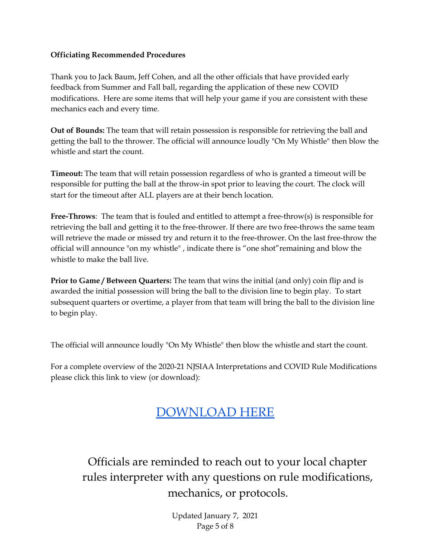#### **Officiating Recommended Procedures**

Thank you to Jack Baum, Jeff Cohen, and all the other officials that have provided early feedback from Summer and Fall ball, regarding the application of these new COVID modifications. Here are some items that will help your game if you are consistent with these mechanics each and every time.

**Out of Bounds:** The team that will retain possession is responsible for retrieving the ball and getting the ball to the thrower. The official will announce loudly "On My Whistle" then blow the whistle and start the count.

**Timeout:** The team that will retain possession regardless of who is granted a timeout will be responsible for putting the ball at the throw-in spot prior to leaving the court. The clock will start for the timeout after ALL players are at their bench location.

**Free-Throws**: The team that is fouled and entitled to attempt a free-throw(s) is responsible for retrieving the ball and getting it to the free-thrower. If there are two free-throws the same team will retrieve the made or missed try and return it to the free-thrower. On the last free-throw the official will announce "on my whistle" , indicate there is "one shot"remaining and blow the whistle to make the ball live.

**Prior to Game / Between Quarters:** The team that wins the initial (and only) coin flip and is awarded the initial possession will bring the ball to the division line to begin play. To start subsequent quarters or overtime, a player from that team will bring the ball to the division line to begin play.

The official will announce loudly "On My Whistle" then blow the whistle and start the count.

For a complete overview of the 2020-21 NJSIAA Interpretations and COVID Rule Modifications please click this link to view (or download):

## [DOWNLOAD HERE](https://drive.google.com/file/d/1YcQny7-57u7a7ZFJ0TnHc3caUd-KvDU8/view?usp=sharing)

Officials are reminded to reach out to your local chapter rules interpreter with any questions on rule modifications, mechanics, or protocols.

> Updated January 7, 2021 Page 5 of 8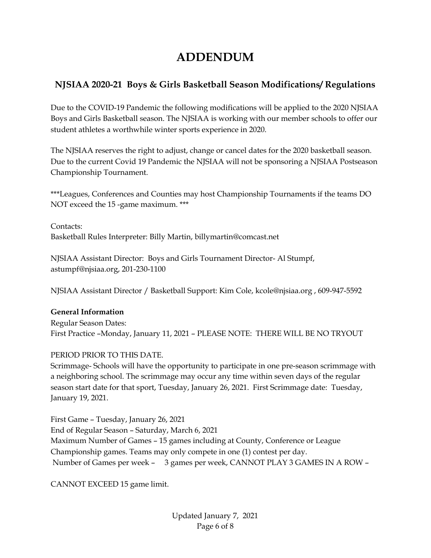## **ADDENDUM**

## **NJSIAA 2020-21 Boys & Girls Basketball Season Modifications/ Regulations**

Due to the COVID-19 Pandemic the following modifications will be applied to the 2020 NJSIAA Boys and Girls Basketball season. The NJSIAA is working with our member schools to offer our student athletes a worthwhile winter sports experience in 2020.

The NJSIAA reserves the right to adjust, change or cancel dates for the 2020 basketball season. Due to the current Covid 19 Pandemic the NJSIAA will not be sponsoring a NJSIAA Postseason Championship Tournament.

\*\*\*Leagues, Conferences and Counties may host Championship Tournaments if the teams DO NOT exceed the 15 -game maximum. \*\*\*

Contacts: Basketball Rules Interpreter: Billy Martin, billymartin@comcast.net

NJSIAA Assistant Director: Boys and Girls Tournament Director- Al Stumpf, astumpf@njsiaa.org, 201-230-1100

NJSIAA Assistant Director / Basketball Support: Kim Cole, kcole@njsiaa.org , 609-947-5592

#### **General Information**

Regular Season Dates: First Practice –Monday, January 11, 2021 – PLEASE NOTE: THERE WILL BE NO TRYOUT

## PERIOD PRIOR TO THIS DATE.

Scrimmage- Schools will have the opportunity to participate in one pre-season scrimmage with a neighboring school. The scrimmage may occur any time within seven days of the regular season start date for that sport, Tuesday, January 26, 2021. First Scrimmage date: Tuesday, January 19, 2021.

First Game – Tuesday, January 26, 2021 End of Regular Season – Saturday, March 6, 2021 Maximum Number of Games – 15 games including at County, Conference or League Championship games. Teams may only compete in one (1) contest per day. Number of Games per week – 3 games per week, CANNOT PLAY 3 GAMES IN A ROW –

CANNOT EXCEED 15 game limit.

Updated January 7, 2021 Page 6 of 8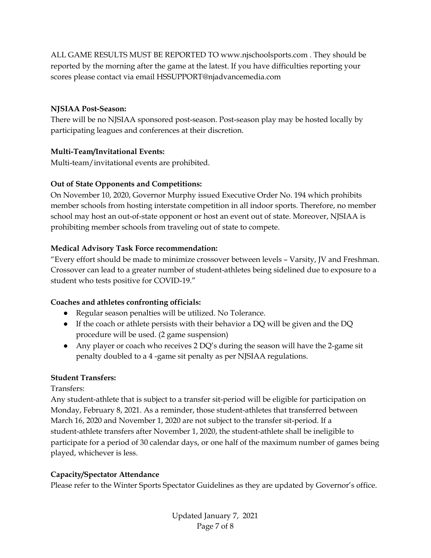ALL GAME RESULTS MUST BE REPORTED TO www.njschoolsports.com . They should be reported by the morning after the game at the latest. If you have difficulties reporting your scores please contact via email HSSUPPORT@njadvancemedia.com

#### **NJSIAA Post-Season:**

There will be no NJSIAA sponsored post-season. Post-season play may be hosted locally by participating leagues and conferences at their discretion.

#### **Multi-Team/Invitational Events:**

Multi-team/invitational events are prohibited.

#### **Out of State Opponents and Competitions:**

On November 10, 2020, Governor Murphy issued Executive Order No. 194 which prohibits member schools from hosting interstate competition in all indoor sports. Therefore, no member school may host an out-of-state opponent or host an event out of state. Moreover, NJSIAA is prohibiting member schools from traveling out of state to compete.

#### **Medical Advisory Task Force recommendation:**

"Every effort should be made to minimize crossover between levels – Varsity, JV and Freshman. Crossover can lead to a greater number of student-athletes being sidelined due to exposure to a student who tests positive for COVID-19."

#### **Coaches and athletes confronting officials:**

- Regular season penalties will be utilized. No Tolerance.
- If the coach or athlete persists with their behavior a DQ will be given and the DQ procedure will be used. (2 game suspension)
- Any player or coach who receives  $2$  DQ's during the season will have the 2-game sit penalty doubled to a 4 -game sit penalty as per NJSIAA regulations.

## **Student Transfers:**

Transfers:

Any student-athlete that is subject to a transfer sit-period will be eligible for participation on Monday, February 8, 2021. As a reminder, those student-athletes that transferred between March 16, 2020 and November 1, 2020 are not subject to the transfer sit-period. If a student-athlete transfers after November 1, 2020, the student-athlete shall be ineligible to participate for a period of 30 calendar days, or one half of the maximum number of games being played, whichever is less.

## **Capacity/Spectator Attendance**

Please refer to the Winter Sports Spectator Guidelines as they are updated by Governor's office.

Updated January 7, 2021 Page 7 of 8